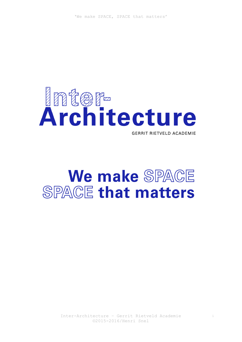

# We make SPACE **SPACE that matters**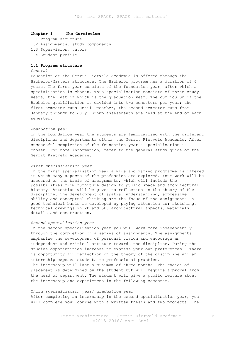# **Chapter 1 The Curriculum**

1.1 Program structure 1.2 Assignments, study components 1.3 Supervision, tutors 1.4 Student profile

# **1.1 Program structure**

# *General*

Education at the Gerrit Rietveld Academie is offered through the Bachelor/Masters structure. The Bachelor program has a duration of 4 years. The first year consists of the foundation year, after which a specialisation is chosen. This specialisation consists of three study years, the last of which is the graduation year. The curriculum of the Bachelor qualification is divided into two semesters per year; the first semester runs until December, the second semester runs from January through to July. Group assessments are held at the end of each semester.

## *Foundation year*

In the foundation year the students are familiarised with the different disciplines and departments within the Gerrit Rietveld Academie. After successful completion of the foundation year a specialisation is chosen. For more information, refer to the general study guide of the Gerrit Rietveld Academie.

#### *First specialisation year*

In the first specialisation year a wide and varied programme is offered in which many aspects of the profession are explored. Your work will be assessed on the basis of assignments, which will include the possibilities from furniture design to public space and architectural history. Attention will be given to reflection on the theory of the discipline. The development of spatial understanding, expressive ability and conceptual thinking are the focus of the assignments. A good technical basis is developed by paying attention to: sketching, technical drawings in 2D and 3D, architectural aspects, materials, details and construction.

#### *Second specialisation year*

In the second specialisation year you will work more independently through the completion of a series of assignments. The assignments emphasize the development of personal vision and encourage an independent and critical attitude towards the discipline. During the studies opportunities increase to express your own preferences. There is opportunity for reflection on the theory of the discipline and an internship exposes students to professional practice. The internship will last a minimum of three months. The choice of placement is determined by the student but will require approval from the head of department. The student will give a public lecture about the internship and experiences in the following semester.

# *Third specialisation year/ graduation year*

After completing an internship in the second specialisation year, you will complete your course with a written thesis and two projects. The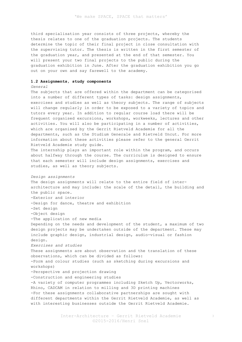third specialisation year consists of three projects, whereby the thesis relates to one of the graduation projects. The students determine the topic of their final project in close consultation with the supervising tutor. The thesis is written in the first semester of the graduation year, and presented at the end of that semester. You will present your two final projects to the public during the graduation exhibition in June. After the graduation exhibition you go out on your own and say farewell to the academy.

# **1.2 Assignments, study components**

# *General*

The subjects that are offered within the department can be categorised into a number of different types of tasks: design assignments, exercises and studies as well as theory subjects. The range of subjects will change regularly in order to be exposed to a variety of topics and tutors every year. In addition to regular course load there will be frequent organised excursions, workshops, workweeks, lectures and other activities. You will also be participating in a number of activities, which are organised by the Gerrit Rietveld Academie for all the departments, such as the Studium Generale and Rietveld Uncut. For more information about these activities please refer to the general Gerrit Rietveld Academie study guide. The internship plays an important role within the program, and occurs

about halfway through the course. The curriculum is designed to ensure that each semester will include design assignments, exercises and studies, as well as theory subjects.

## *Design assignments*

The design assignments will relate to the entire field of interarchitecture and may include: the scale of the detail, the building and the public space. -Exterior and interior -Design for dance, theatre and exhibition -Set design -Object design -The application of new media Depending on the needs and development of the student, a maximum of two design projects may be undertaken outside of the department. These may include graphic design, industrial design, audio-visual or fashion design. *Exercises and studies* These assignments are about observation and the translation of these observations, which can be divided as follows: -Form and colour studies (such as sketching during excursions and workshops) -Perspective and projection drawing -Construction and engineering studies -A variety of computer programmes including Sketch Up, Vectorworks, Rhino, CADCAM in relation to milling and 3D printing machines -For these assignments collaborative partnerships are sought with different departments within the Gerrit Rietveld Academie, as well as with interesting businesses outside the Gerrit Rietveld Academie.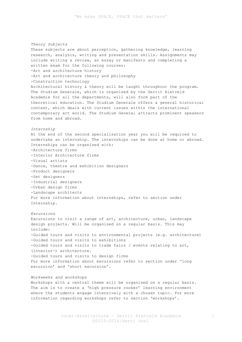*Theory Subjects* These subjects are about perception, gathering knowledge, learning research, analysis, writing and presentation skills. Assignments may include writing a review, an essay or manifesto and completing a written exam for the following courses: -Art and architecture history -Art and architecture theory and philosophy -Construction technology Architectural history & theory will be taught throughout the program. The Studium Generale, which is organised by the Gerrit Rietveld Academie for all the departments, will also form part of the theoretical education. The Studium Generale offers a general historical context, which deals with current issues within the international contemporary art world. The Studium General attracts prominent speakers from home and abroad. *Internship* At the end of the second specialisation year you will be required to undertake an internship. The internships can be done at home or abroad. Internships can be organised with: -Architecture firms -Interior Architecture firms -Visual artists -Dance, theatre and exhibition designers -Product designers -Set designers -Industrial designers -Urban design firms -Landscape architects For more information about internships, refer to section under Internship. *Excursions* Excursions to visit a range of art, architecture, urban, landscape design projects. Will be organised on a regular basis. This may include: -Guided tours and visits to environmental projects (e.g. architecture) -Guided tours and visits to exhibitions -Guided tours and visits to trade fairs / events relating to art, (interior-) architecture. -Guided tours and visits to design firms For more information about excursions refer to section under 'long excursion' and 'short excursion'.

# *Workweeks and workshops*

Workshops with a central theme will be organised on a regular basis. The aim is to create a 'high pressure cooker' learning environment where the students engage intensively with a chosen topic. For more information regarding workshops refer to section 'workshops'.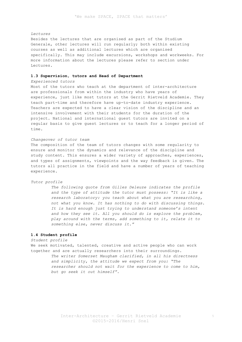# *Lectures*

Besides the lectures that are organised as part of the Studium Generale, other lectures will run regularly; both within existing courses as well as additional lectures which are organised specifically. This may include excursions, workshops and workweeks. For more information about the lectures please refer to section under Lectures.

# **1.3 Supervision, tutors and Head of Department**

#### *Experienced tutors*

Most of the tutors who teach at the department of inter-architecture are professionals from within the industry who have years of experience, just like most tutors at the Gerrit Rietveld Academie. They teach part-time and therefore have up-to-date industry experience. Teachers are expected to have a clear vision of the discipline and an intensive involvement with their students for the duration of the project. National and international guest tutors are invited on a regular basis to give guest lectures or to teach for a longer period of time.

# *Changeover of tutor team*

The composition of the team of tutors changes with some regularity to ensure and monitor the dynamics and relevance of the discipline and study content. This ensures a wider variety of approaches, experiences, and types of assignments, viewpoints and the way feedback is given. The tutors all practice in the field and have a number of years of teaching experience.

## *Tutor profile*

*The following quote from Gilles Deleuze indicates the profile and the type of attitude the tutor must possess: "It is like a research laboratory: you teach about what you are researching, not what you know. It has nothing to do with discussing things. It is hard enough just trying to understand someone's intent and how they see it. All you should do is explore the problem, play around with the terms, add something to it, relate it to something else, never discuss it."* 

# **1.4 Student profile**

*Student profile*

We seek motivated, talented, creative and active people who can work together and are actually researchers into their surroundings.

*The writer Somerset Maugham clarified, in all his directness and simplicity, the attitude we expect from you: "The researcher should not wait for the experience to come to him, but go seek it out himself".*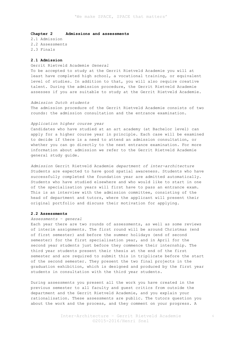# **Chapter 2 Admissions and assessments**

2.1 Admission 2.2 Assessments 2.3 Finals

# **2.1 Admission**

Gerrit Rietveld Academie *General* To be accepted to study at the Gerrit Rietveld Academie you will at least have completed high school, a vocational training, or equivalent level of studies. In addition to that, you will also require creative talent. During the admission procedure, the Gerrit Rietveld Academie assesses if you are suitable to study at the Gerrit Rietveld Academie.

#### *Admission Dutch students*

The admission procedure of the Gerrit Rietveld Academie consists of two rounds: the admission consultation and the entrance examination.

#### *Application higher course year*

Candidates who have studied at an art academy (at Bachelor level) can apply for a higher course year in principle. Each case will be examined to decide if there is a need to attend an admission consultation, or whether you can go directly to the next entrance examination. For more information about admission we refer to the Gerrit Rietveld Academie general study guide.

*Admission* Gerrit Rietveld Academie *department of inter-architecture* Students are expected to have good spatial awareness. Students who have successfully completed the foundation year are admitted automatically. Students who have studied elsewhere and who would like to start in one of the specialisation years will first have to pass an entrance exam. This is an interview with the admission committee, consisting of the head of department and tutors, where the applicant will present their original portfolio and discuss their motivation for applying.

# **2.2 Assessments**

# *Assessments – general*

Each year there are two rounds of assessments, as well as some reviews of interim assignments. The first round will be around Christmas (end of first semester) and before the summer holidays (end of second semester) for the first specialisation year, and in April for the second year students just before they commence their internship. The third year students present their thesis at the end of the first semester and are required to submit this in triplicate before the start of the second semester. They present the two final projects in the graduation exhibition, which is designed and produced by the first year students in consultation with the third year students.

During assessments you present all the work you have created in the previous semester to all faculty and guest critics from outside the department and the Gerrit Rietveld Academie, and you explain your rationalisation. These assessments are public. The tutors question you about the work and the process, and they comment on your progress. A

6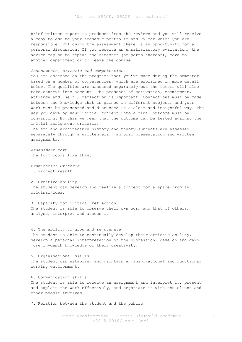brief written report is produced from the reviews and you will receive a copy to add to your academic portfolio and CV for which you are responsible. Following the assessment there is an opportunity for a personal discussion. If you receive an unsatisfactory evaluation, the advice may be to repeat the semester (or parts thereof), move to another department or to leave the course.

# *Assessments, criteria and competencies*

You are assessed on the progress that you've made during the semester based on a number of competencies, which are explained in more detail below. The qualities are assessed separately but the tutors will also take context into account. The presence of motivation, commitment, attitude and (self-) reflection is important. Connections must be made between the knowledge that is gained in different subject, and your work must be presented and discussed in a clear and insightful way. The way you develop your initial concept into a final outcome must be convincing. By this we mean that the outcome can be tested against the initial assignment criteria.

The art and architecture history and theory subjects are assessed separately through a written exam, an oral presentation and written assignments.

*Assessment form* The form looks like this:

*Examination Criteria* 1. Project result

2. Creative ability The student can develop and realize a concept for a space from an original idea.

3. Capacity for critical reflection The student is able to observe their own work and that of others, analyse, interpret and assess it.

4. The ability to grow and rejuvenate The student is able to continually develop their artistic ability, develop a personal interpretation of the profession, develop and gain more in-depth knowledge of their creativity.

5. Organisational skills The student can establish and maintain an inspirational and functional working environment.

6. Communication skills The student is able to receive an assignment and interpret it, present and explain the work effectively, and negotiate it with the client and other people involved.

7. Relation between the student and the public

Inter-Architecture – Gerrit Rietveld Academie ©2015-2016/Henri Snel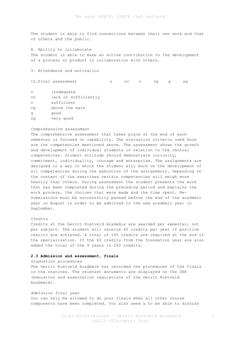The student is able to find connections between their own work and that of others and the public.

8. Ability to collaborate

The student is able to make an active contribution to the development of a process or product in collaboration with others.

9. Attendance and motivation

10. Final assessment o ov v vg g zg

| $\circ$                | inadequate           |
|------------------------|----------------------|
| $\overline{\text{ov}}$ | lack of sufficiently |
| V                      | sufficient           |
| vq                     | above the mark       |
| a                      | qood                 |
| zq                     | very good            |

#### *Comprehensive assessment*

The comprehensive assessment that takes place at the end of each semester is focused on capability. The evaluation criteria used here are the competencies mentioned above. The assessment shows the growth and development of individual students in relation to the central competencies. Student attitude should demonstrate curiosity, commitment, individuality, courage and enterprise. The assignments are designed in a way in which the student will work on the development of all competencies during the execution of the assignments. Depending on the content of the exercises certain competencies will weigh more heavily than others. During assessment the student presents the work that has been completed during the preceding period and explains the work process, the choices that were made and the time spent. Resubmissions must be successfully passed before the end of the academic year in August in order to be admitted to the new academic year in September.

# *Credits*

Credits at the Gerrit Rietveld Academie are awarded per semester, not per subject. The student will receive 60 credits per year if positive results are achieved. A total of 180 credits are required at the end of the specialisation. If the 60 credits from the foundation year are also added the total of the 4 years is 240 credits.

## **2.3 Admission and assessment, finals**

*Graduation procedures*

The Gerrit Rietveld Academie has recorded the procedures of the finals in the statutes. The relevant documents are displayed on the OER (education and examination regulations of the Gerrit Rietveld Academie).

# *Admission final year*

You can only be allowed to do your finals when all other course components have been completed. You also need a to be able to discuss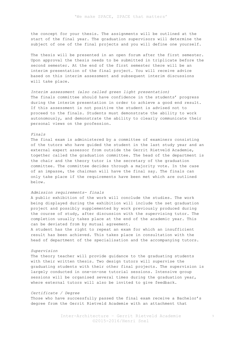the concept for your thesis. The assignments will be outlined at the start of the final year. The graduation supervisors will determine the subject of one of the final projects and you will define one yourself.

The thesis will be presented in an open forum after the first semester. Upon approval the thesis needs to be submitted in triplicate before the second semester. At the end of the first semester there will be an interim presentation of the final project. You will receive advice based on this interim assessment and subsequent interim discussions will take place.

*Interim assessment (also called green light presentation)* The finals committee should have confidence in the students' progress during the interim presentation in order to achieve a good end result. If this assessment is not positive the student is advised not to proceed to the finals. Students must demonstrate the ability to work autonomously, and demonstrate the ability to clearly communicate their personal views on the profession.

#### *Finals*

The final exam is administered by a committee of examiners consisting of the tutors who have guided the student in the last study year and an external expert assessor from outside the Gerrit Rietveld Academie, together called the graduation committee. The head of the department is the chair and the theory tutor is the secretary of the graduation committee. The committee decides through a majority vote. In the case of an impasse, the chairman will have the final say. The finals can only take place if the requirements have been met which are outlined below.

# *Admission requirements- finals*

A public exhibition of the work will conclude the studies. The work being displayed during the exhibition will include the set graduation project and possibly supplemented by work previously produced during the course of study, after discussion with the supervising tutor. The completion usually takes place at the end of the academic year. This can be deviated from by mutual agreement.

A student has the right to repeat an exam for which an insufficient result has been achieved. This takes place in consultation with the head of department of the specialisation and the accompanying tutors.

#### *Supervision*

The theory teacher will provide guidance to the graduating students with their written thesis. Two design tutors will supervise the graduating students with their other final projects. The supervision is largely conducted in one-on-one tutorial sessions. Intensive group sessions will be organised several times during the graduation year, where external tutors will also be invited to give feedback.

#### *Certificate / Degree*

Those who have successfully passed the final exam receive a Bachelor's degree from the Gerrit Rietveld Academie with an attachment that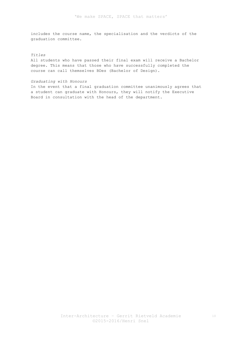includes the course name, the specialisation and the verdicts of the graduation committee.

#### *Titles*

All students who have passed their final exam will receive a Bachelor degree. This means that those who have successfully completed the course can call themselves BDes (Bachelor of Design).

# *Graduating with Honours*

In the event that a final graduation committee unanimously agrees that a student can graduate with Honours, they will notify the Executive Board in consultation with the head of the department.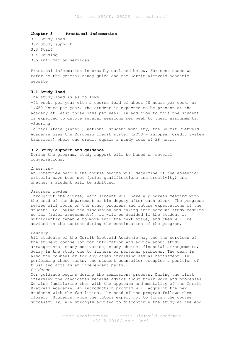# **Chapter 3 Practical information**

3.1 Study load 3.2 Study support 3.3 Staff 3.4 Housing 3.5 Information services

Practical information is broadly outlined below. For most cases we refer to the general study guide and the Gerrit Rietveld Academie website.

## **3.1 Study load**

The study load is as follows:

-42 weeks per year with a course load of about 40 hours per week, or 1,680 hours per year. The student is expected to be present at the academy at least three days per week. In addition to this the student is expected to devote several sessions per week to their assignments. -Scoring

To facilitate (inter-) national student mobility, the Gerrit Rietveld Academie uses the European credit system (ECTS = European Credit System transfers) where one credit equals a study load of 28 hours.

## **3.2 Study support and guidance**

During the program, study support will be based on several conversations.

#### *Interview*

An interview before the course begins will determine if the essential criteria have been met (prior qualifications and creativity) and whether a student will be admitted.

#### *Progress review*

Throughout the course, each student will have a progress meeting with the head of the department or his deputy after each block. The progress review will focus on the study progress and future expectations of the student. Following the discussion and taking into account study results so far (refer assessments), it will be decided if the student is sufficiently capable to move into the next stage, and they will be advised on the content during the continuation of the program.

#### *Deanery*

All students of the Gerrit Rietveld Academie may use the services of the student counsellor for information and advice about study arrangements, study motivation, study choice, financial arrangements, delay in the study due to illness or personal problems. The dean is also the counsellor for any cases involving sexual harassment. In performing these tasks, the student counsellor occupies a position of trust and acts as an independent party.

*Guidance*

Our guidance begins during the admissions process. During the first interview the candidates receive advice about their work and processes. We also familiarise them with the approach and mentality of the Gerrit Rietveld Academie. An introduction program will acquaint the new students with the facilities. The head of the program follows them closely. Students, whom the tutors expect not to finish the course successfully, are strongly advised to discontinue the study at the end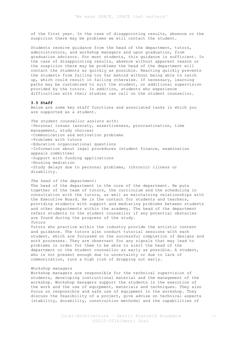of the first year. In the case of disappointing results, absence or the suspicion there may be problems we will contact the student.

Students receive guidance from the head of the department, tutors, administrators, and workshop managers and upon graduation, from graduation advisors. For most students, this guidance is sufficient. In the case of disappointing results, absence without apparent reason or the suspicion there may be problems the head of the department will contact the students as quickly as possible. Reacting quickly prevents the students from falling too far behind without being able to catch up, which could result in failing otherwise. If necessary, learning paths may be customized to suit the student, or additional supervision provided by the tutors. In addition, students who experience difficulties with their studies can call on the student counsellor.

#### **3.3 Staff**

Below are some key staff functions and associated tasks in which you are supported as a student.

*The student counsellor assists with:*  -Personal issues (anxiety, assertiveness, procrastination, time management, study choices) -Communication and motivation problems -Problems with tutors -Education organisational questions -Information about legal procedures (student finance, examination appeals committee) -Support with funding applications -Housing mediation -Study delays due to personal problems, (chronic) illness or disability.

# *The head of the department:*

The head of the department is the core of the department. He puts together of the team of tutors, the curriculum and the scheduling in consultation with the tutors, as well as maintaining relationships with the Executive Board. He is the contact for students and teachers, providing students with support and mediating problems between students and other departments within the academy. The head of the department refers students to the student counsellor if any potential obstacles are found during the progress of the study. *Tutors*

Tutors who practice within the industry provide the artistic content and guidance. The tutors also conduct tutorial sessions with each student, which are focussed on the successful completion of designs and work processes. They are observant for any signals that may lead to problems in order for them to be able to alert the head of the department or the student counsellor as early as possible. A student, who is not present enough due to uncertainty or due to lack of communication, runs a high risk of dropping out early.

## *Workshop managers*

Workshop managers are responsible for the technical supervision of students, developing instructional material and the management of the workshop. Workshop managers support the students in the execution of the work and the use of equipment, materials and techniques. They also focus on responsible and safe use of equipment in the workshop. They discuss the feasibility of a project, give advise on technical aspects (stability, durability, construction methods) and the capabilities of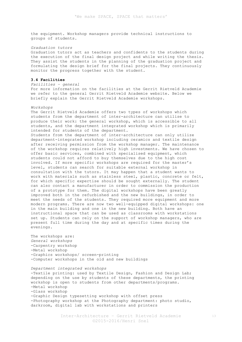the equipment. Workshop managers provide technical instructions to groups of students.

*Graduation tutors*

Graduation tutors act as teachers and confidents to the students during the execution of the final design project and while writing the thesis. They assist the students in the planning of the graduation project and formulating the design brief for the final projects. They continuously monitor the progress together with the student.

# **3.4 Facilities**

*Facilities – general* For more information on the facilities at the Gerrit Rietveld Academie we refer to the general Gerrit Rietveld Academie website. Below we briefly explain the Gerrit Rietveld Academie workshops.

#### *Workshops*

The Gerrit Rietveld Academie offers two types of workshops which students from the department of inter-architecture can utilise to produce their work: the general workshop, which is accessible to all students, and the department integrated workshop which is primarily intended for students of the department.

Students from the department of inter-architecture can only utilize department-integrated workshop including ceramics and textile design after receiving permission from the workshop manager. The maintenance of the workshop requires relatively high investments. We have chosen to offer basic services, combined with specialised equipment, which students could not afford to buy themselves due to the high cost involved. If more specific workshops are required for the master's level, students can search for suitable external workshop in consultation with the tutors. It may happen that a student wants to work with materials such as stainless steel, plastic, concrete or felt, for which specific expertise should be sought externally. The student can also contact a manufacturer in order to commission the production of a prototype for them. The digital workshops have been greatly improved both in the refurbished and the new buildings, in order to meet the needs of the students. They required more equipment and more modern programs. There are now two well-equipped digital workshops: one in the main building and one in the new building. Both have an instructional space that can be used as classrooms with workstations set up. Students can rely on the support of workshop managers, who are present full time during the day and at specific times during the evenings.

The workshops are: *General workshops* -Carpentry workshop -Metal workshop -Graphics workshops/ screen-printing -Computer workshops in the old and new buildings

*Department integrated workshops* -Textile printing: used by Textile Design, Fashion and Design Lab; depending on the use by students of these departments, the printing workshop is open to students from other departments/programs. -Metal workshop -Glass workshop -Graphic Design typesetting workshop with offset press -Photography workshop at the Photography department: photo studio, darkroom, digital lab with workstations and printers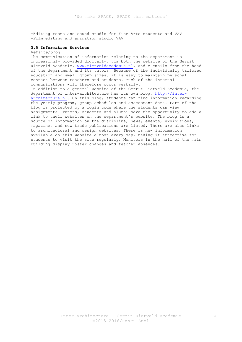-Editing rooms and sound studio for Fine Arts students and VAV -Film editing and animation studio VAV

# **3.5 Information Services**

#### *Website/blog*

The communication of information relating to the department is increasingly provided digitally, via both the website of the Gerrit Rietveld Academie, www.rietveldacademie.nl, and e-emails from the head of the department and its tutors. Because of the individually tailored education and small group sizes, it is easy to maintain personal contact between teachers and students. Much of the internal communications will therefore occur verbally. In addition to a general website of the Gerrit Rietveld Academie, the department of inter-architecture has its own blog, http://interarchitecture.nl. On this blog, students can find information regarding the yearly program, group schedules and assessment data. Part of the blog is protected by a login code where the students can view assignments. Tutors, students and alumni have the opportunity to add a link to their websites on the department's website. The blog is a source of information on the discipline; news, events, exhibitions, magazines and new trade publications are listed. There are also links to architectural and design websites. There is new information available on this website almost every day, making it attractive for students to visit the site regularly. Monitors in the hall of the main building display roster changes and teacher absences.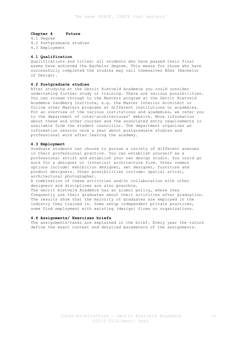## **Chapter 4 Future**

4.1 Degree 4.2 Postgraduate studies 4.3 Employment

# **4.1 Qualification**

Qualifications and titles: all students who have passed their final exams have achieved the Bachelor degree. This means for those who have successfully completed the studies may call themselves BDes (Bachelor of Design).

#### **4.2 Postgraduate studies**

After studying at the Gerrit Rietveld Academie you could consider undertaking further study or training. There are various possibilities. You can stream through to the Masters program at the Gerrit Rietveld Academie Sandberg Institute, e.g. the Master Interior Architect or follow other Masters programs at different institutions or academies. For an overview of the various institutions and academies, we refer you to the department of inter-architectures' website. More information about these and other courses and the associated entry requirements is available from the student councillor. The department organizes an information session once a year about postgraduate studies and professional work after leaving the academy.

## **4.3 Employment**

Graduate students can choose to pursue a variety of different avenues in their professional practice. You can establish yourself as a professional artist and establish your own design studio. You could go work for a designer or (interior) architecture firm. Other common options include: exhibition designer, set designer, furniture and product designers. Other possibilities include: spatial artist, architectural photographer.

A combination of these activities and/or collaboration with other designers and disciplines are also possible.

The Gerrit Rietveld Academie has an alumni policy, where they frequently ask their graduates about their activities after graduation. The results show that the majority of graduates are employed in the industry they trained in. Some setup independent private practices, some find employment with existing (design) firms or organizations.

## **4.4 Assignments/ Exercises briefs**

The assignments/tasks are explained in the brief. Every year the tutors define the exact context and detailed parameters of the assignments.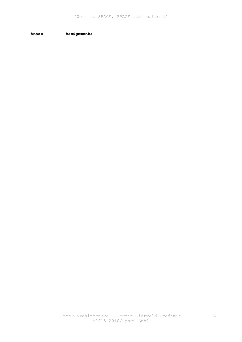**Annex Assignments**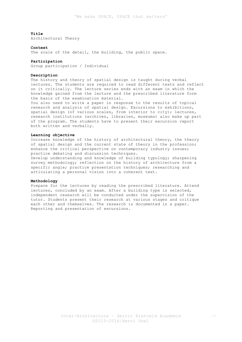Architectural Theory

#### **Context**

The scale of the detail, the building, the public space.

#### **Participation**

Group participation / Individual

#### **Description**

The history and theory of spatial design is taught during verbal lectures. The students are required to read different texts and reflect on it critically. The lecture series ends with an exam in which the knowledge gained from the lecture and the prescribed literature form the basis of the examination material.

You also need to write a paper in response to the results of topical research and analysis of spatial design. Excursions to exhibitions, spatial design (of various scales, from interior to city); lectures, research institutions (archives, libraries, museums) also make up part of the program. The students have to present their excursion report both written and verbally.

# **Learning objective**

Increase knowledge of the history of architectural theory, the theory of spatial design and the current state of theory in the profession; enhance the critical perspective on contemporary industry issues; practice debating and discussion techniques. Develop understanding and knowledge of building typology; sharpening survey methodology; reflection on the history of architecture from a specific angle; practice presentation techniques; researching and articulating a personal vision into a coherent text.

#### **Methodology**

Prepare for the lectures by reading the prescribed literature. Attend lectures, concluded by an exam. After a building type is selected, independent research will be conducted under the supervision of the tutor. Students present their research at various stages and critique each other and themselves. The research is documented in a paper. Reporting and presentation of excursions.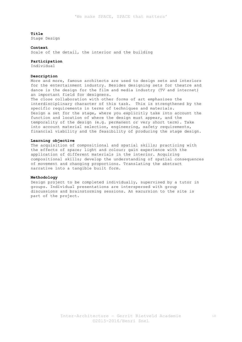Stage Design

#### **Context**

Scale of the detail, the interior and the building

#### **Participation**

Individual

#### **Description**

More and more, famous architects are used to design sets and interiors for the entertainment industry. Besides designing sets for theatre and dance is the design for the film and media industry (TV and internet) an important field for designers.

The close collaboration with other forms of art emphasizes the interdisciplinary character of this task. This is strengthened by the specific requirements in terms of techniques and materials. Design a set for the stage, where you explicitly take into account the function and location of where the design must appear, and the temporality of the design (e.g. permanent or very short term). Take into account material selection, engineering, safety requirements, financial viability and the feasibility of producing the stage design.

# **Learning objective**

The acquisition of compositional and spatial skills; practicing with the effects of space; light and colour; gain experience with the application of different materials in the interior. Acquiring compositional skills; develop the understanding of spatial consequences of movement and changing proportions. Translating the abstract narrative into a tangible built form.

#### **Methodology**

Design project to be completed individually, supervised by a tutor in groups. Individual presentations are interspersed with group discussions and brainstorming sessions. An excursion to the site is part of the project.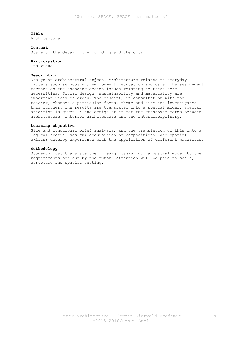Architecture

#### **Context**

Scale of the detail, the building and the city

#### **Participation**

Individual

# **Description**

Design an architectural object. Architecture relates to everyday matters such as housing, employment, education and care. The assignment focuses on the changing design issues relating to these core necessities. Social design, sustainability and materiality are important research areas. The student, in consultation with the teacher, chooses a particular focus, theme and site and investigates this further. The results are translated into a spatial model. Special attention is given in the design brief for the crossover forms between architecture, interior architecture and the interdisciplinary.

#### **Learning objective**

Site and functional brief analysis, and the translation of this into a logical spatial design; acquisition of compositional and spatial skills; develop experience with the application of different materials.

## **Methodology**

Students must translate their design tasks into a spatial model to the requirements set out by the tutor. Attention will be paid to scale, structure and spatial setting.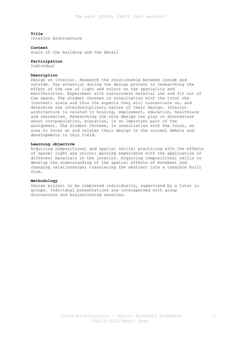Interior Architecture

#### **Context**

Scale of the building and the detail

#### **Participation**

Individual

# **Description**

Design an interior. Research the relationship between inside and outside. Pay attention during the design process to researching the effect of the use of light and colour on the spatiality and manifestation. Experiment with sustainable material use and fit out of the space. The student chooses in consultation with the tutor the (context) scale and thus the aspects they will concentrate on, and determine the interdisciplinary nature of their design. Interior architecture is related to housing, employment, education, healthcare and recreation. Researching the role design can play in discussions about overpopulation, migration, is an important part of the assignment. The student chooses, in consultation with the tutor, an area to focus on and relates their design to the current debate and developments in this field.

#### **Learning objective**

Acquiring compositional and spatial skills; practicing with the effects of space; light and colour; gaining experience with the application of different materials in the interior. Acquiring compositional skills to develop the understanding of the spatial effects of movement and changing relationships; translating the abstract into a tangible built form.

# **Methodology**

Design project to be completed individually, supervised by a tutor in groups. Individual presentations are interspersed with group discussions and brainstorming sessions.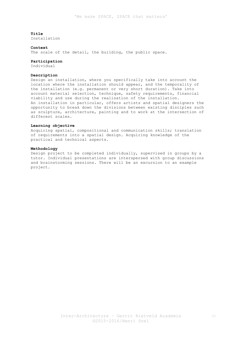Installation

#### **Context**

The scale of the detail, the building, the public space.

#### **Participation**

Individual

# **Description**

Design an installation, where you specifically take into account the location where the installation should appear, and the temporality of the installation (e.g. permanent or very short duration). Take into account material selection, technique, safety requirements, financial viability and use during the realisation of the installation. An installation in particular, offers artists and spatial designers the opportunity to break down the divisions between existing disciples such as sculpture, architecture, painting and to work at the intersection of different scales.

#### **Learning objective**

Acquiring spatial, compositional and communication skills; translation of requirements into a spatial design. Acquiring knowledge of the practical and technical aspects.

# **Methodology**

Design project to be completed individually, supervised in groups by a tutor. Individual presentations are interspersed with group discussions and brainstorming sessions. There will be an excursion to an example project.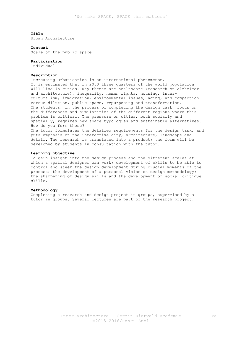Urban Architecture

#### **Context**

Scale of the public space

# **Participation**

Individual

# **Description**

Increasing urbanisation is an international phenomenon. It is estimated that in 2050 three quarters of the world population will live in cities. Key themes are healthcare (research on Alzheimer and architecture), inequality, human rights, housing, interculturalism, immigration, environmental issues, aging, and compaction versus dilution, public space, repurposing and transformation. The students, in the process of completing the design task, focus on the differences and similarities of the different regions where this problem is critical. The pressure on cities, both socially and spatially, requires new space typologies and sustainable alternatives. How do you form these? The tutor formulates the detailed requirements for the design task, and puts emphasis on the interactive city, architecture, landscape and detail. The research is translated into a product; the form will be developed by students in consultation with the tutor.

#### **Learning objective**

To gain insight into the design process and the different scales at which a spatial designer can work; development of skills to be able to control and steer the design development during crucial moments of the process; the development of a personal vision on design methodology; the sharpening of design skills and the development of social critique skills.

## **Methodology**

Completing a research and design project in groups, supervised by a tutor in groups. Several lectures are part of the research project.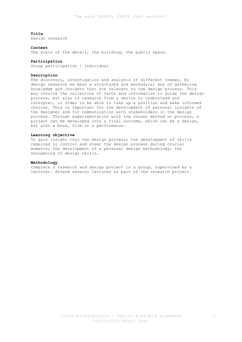Design research

#### **Context**

The scale of the detail, the building, the public space.

#### **Participation**

Group participation / Individual

#### **Description**

The discovery, investigation and analysis of different themes. By design research we mean a structured and methodical way of gathering knowledge and insights that are relevant to the design process. This may involve the collection of facts and information to guide the design process, but also to research from a desire to understand and interpret, in order to be able to take up a position and make informed choices. This is important for the development of personal insights of the designer and for communication with stakeholders in the design process. Through experimentation with the chosen method or process, a project can be developed into a final outcome, which can be a design, but also a book, film or a performance.

# **Learning objective**

To gain insight into the design process; the development of skills required to control and steer the design process during crucial moments; the development of a personal design methodology; the sharpening of design skills.

#### **Methodology**

Complete a research and design project in a group, supervised by a lecturer. Attend several lectures as part of the research project.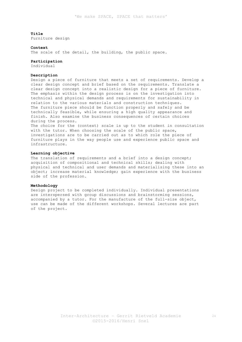Furniture design

#### **Context**

The scale of the detail, the building, the public space.

#### **Participation**

Individual

# **Description**

Design a piece of furniture that meets a set of requirements. Develop a clear design concept and brief based on the requirements. Translate a clear design concept into a realistic design for a piece of furniture. The emphasis within the design process is on the investigation into technical and physical demands and requirements for sustainability in relation to the various materials and construction techniques. The furniture piece should be function properly and safely and be technically feasible, while ensuring a high quality appearance and finish. Also examine the business consequences of certain choices during the process. The choice for the (context) scale is up to the student in consultation with the tutor. When choosing the scale of the public space, investigations are to be carried out as to which role the piece of

furniture plays in the way people use and experience public space and infrastructure.

# **Learning objective**

The translation of requirements and a brief into a design concept; acquisition of compositional and technical skills; dealing with physical and technical and user demands and materialising these into an object; increase material knowledge; gain experience with the business side of the profession.

#### **Methodology**

Design project to be completed individually. Individual presentations are interspersed with group discussions and brainstorming sessions, accompanied by a tutor. For the manufacture of the full-size object, use can be made of the different workshops. Several lectures are part of the project.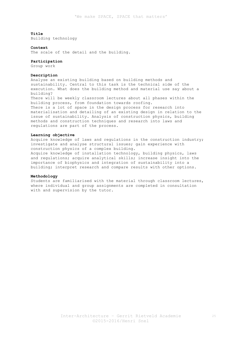Building technology

#### **Context**

The scale of the detail and the building.

#### **Participation**

Group work

# **Description**

Analyse an existing building based on building methods and sustainability. Central to this task is the technical side of the execution. What does the building method and material use say about a building? There will be weekly classroom lectures about all phases within the building process, from foundation towards roofing. There is a lot of space in the design process for research into materialisation and detailing of an existing design in relation to the issue of sustainability. Analysis of construction physics, building methods and construction techniques and research into laws and regulations are part of the process.

# **Learning objective**

Acquire knowledge of laws and regulations in the construction industry; investigate and analyse structural issues; gain experience with construction physics of a complex building. Acquire knowledge of installation technology, building physics, laws and regulations; acquire analytical skills; increase insight into the importance of biophysics and integration of sustainability into a building; interpret research and compare results with other options.

# **Methodology**

Students are familiarised with the material through classroom lectures, where individual and group assignments are completed in consultation with and supervision by the tutor.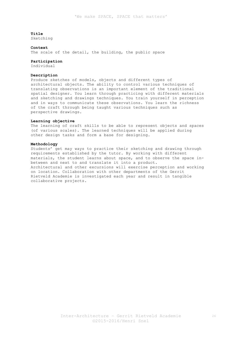Sketching

#### **Context**

The scale of the detail, the building, the public space

#### **Participation**

Individual

# **Description**

Produce sketches of models, objects and different types of architectural objects. The ability to control various techniques of translating observations is an important element of the traditional spatial designer. You learn through practicing with different materials and sketching and drawings techniques. You train yourself in perception and in ways to communicate these observations. You learn the richness of the craft through being taught various techniques such as perspective drawings.

# **Learning objective**

The learning of craft skills to be able to represent objects and spaces (of various scales). The learned techniques will be applied during other design tasks and form a base for designing.

# **Methodology**

Students' get may ways to practice their sketching and drawing through requirements established by the tutor. By working with different materials, the student learns about space, and to observe the space inbetween and next to and translate it into a product. Architectural and other excursions will exercise perception and working on location. Collaboration with other departments of the Gerrit Rietveld Academie is investigated each year and result in tangible collaborative projects.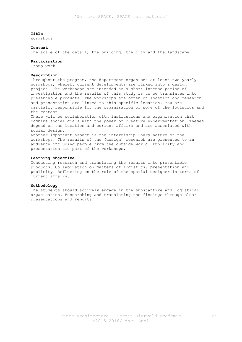Workshops

#### **Context**

The scale of the detail, the building, the city and the landscape

#### **Participation**

Group work

# **Description**

Throughout the program, the department organises at least two yearly workshops, whereby current developments are linked into a design project. The workshops are intended as a short intense period of investigation and the results of this study is to be translated into presentable products. The workshops are often on location and research and presentation are linked to this specific location. You are partially responsible for the organisation of some of the logistics and the content.

There will be collaboration with institutions and organisation that combine social goals with the power of creative experimentation. Themes depend on the location and current affairs and are associated with social design.

Another important aspect is the interdisciplinary nature of the workshops. The results of the (design) research are presented to an audience including people from the outside world. Publicity and presentation are part of the workshops.

# **Learning objective**

Conducting research and translating the results into presentable products. Collaboration on matters of logistics, presentation and publicity. Reflecting on the role of the spatial designer in terms of current affairs.

#### **Methodology**

The students should actively engage in the substantive and logistical organisation. Researching and translating the findings through clear presentations and reports.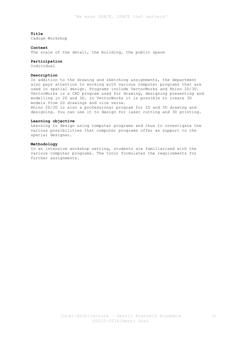Cadcam Workshop

#### **Context**

The scale of the detail, the building, the public space

#### **Participation**

Individual

# **Description**

In addition to the drawing and sketching assignments, the department also pays attention to working with various computer programs that are used in spatial design. Programs include VectorWorks and Rhino 2D/3D. VectorWorks is a CAD program used for drawing, designing presenting and modelling in 2D and 3D. In VectorWorks it is possible to create 3D models from 2D drawings and vice versa.

Rhino 2D/3D is also a professional program for 2D and 3D drawing and designing. You can use it to design for laser cutting and 3D printing.

# **Learning objective**

Learning to design using computer programs and thus to investigate the various possibilities that computer programs offer as support to the spatial designer.

#### **Methodology**

In an intensive workshop setting, students are familiarised with the various computer programs. The tutor formulates the requirements for further assignments.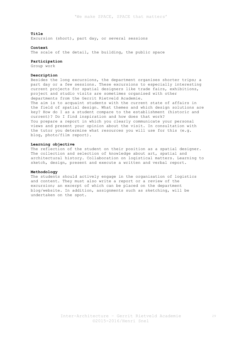Excursion (short), part day, or several sessions

#### **Context**

The scale of the detail, the building, the public space

#### **Participation**

Group work

## **Description**

Besides the long excursions, the department organises shorter trips; a part day or a few sessions. These excursions to especially interesting current projects for spatial designers like trade fairs, exhibitions, project and studio visits are sometimes organised with other departments from the Gerrit Rietveld Academie. The aim is to acquaint students with the current state of affairs in the field of spatial design. What themes and which design solutions are key? How do I as a student compare to the establishment (historic and current)? Do I find inspiration and how does that work? You prepare a report in which you clearly communicate your personal views and present your opinion about the visit. In consultation with the tutor you determine what resources you will use for this (e.g. blog, photo/film report).

#### **Learning objective**

The reflection of the student on their position as a spatial designer. The collection and selection of knowledge about art, spatial and architectural history. Collaboration on logistical matters. Learning to sketch, design, present and execute a written and verbal report.

## **Methodology**

The students should actively engage in the organisation of logistics and content. They must also write a report or a review of the excursion; an excerpt of which can be placed on the department blog/website. In addition, assignments such as sketching, will be undertaken on the spot.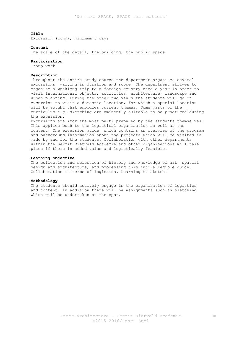Excursion (long), minimum 3 days

#### **Context**

The scale of the detail, the building, the public space

#### **Participation**

Group work

# **Description**

Throughout the entire study course the department organises several excursions, varying in duration and scope. The department strives to organise a weeklong trip to a foreign country once a year in order to visit international objects, activities, architecture, landscape and urban planning. During the other two years the students will go on excursion to visit a domestic location, for which a special location will be sought that embodies current themes. Some parts of the curriculum e.g. sketching are eminently suitable to be practiced during the excursion.

Excursions are (for the most part) prepared by the students themselves. This applies both to the logistical organisation as well as the content. The excursion guide, which contains an overview of the program and background information about the projects which will be visited is made by and for the students. Collaboration with other departments within the Gerrit Rietveld Academie and other organisations will take place if there is added value and logistically feasible.

## **Learning objective**

The collection and selection of history and knowledge of art, spatial design and architecture, and processing this into a legible guide. Collaboration in terms of logistics. Learning to sketch.

#### **Methodology**

The students should actively engage in the organisation of logistics and content. In addition there will be assignments such as sketching which will be undertaken on the spot.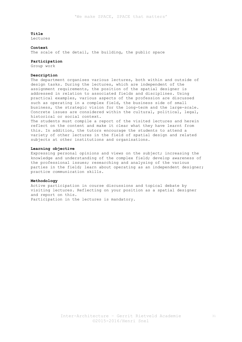Lectures

#### **Context**

The scale of the detail, the building, the public space

#### **Participation**

Group work

# **Description**

The department organises various lectures, both within and outside of design tasks. During the lectures, which are independent of the assignment requirements, the position of the spatial designer is addressed in relation to associated fields and disciplines. Using practical examples, various aspects of the profession are discussed such as operating in a complex field, the business side of small business, the strategic vision for the long-term and the large-scale. Concrete issues are considered within the cultural, political, legal, historical or social context.

The students must compile a report of the visited lectures and herein reflect on the content and make it clear what they have learnt from this. In addition, the tutors encourage the students to attend a variety of other lectures in the field of spatial design and related subjects at other institutions and organisations.

#### **Learning objective**

Expressing personal opinions and views on the subject; increasing the knowledge and understanding of the complex field; develop awareness of the professional issues; researching and analysing of the various parties in the field; learn about operating as an independent designer; practice communication skills.

#### **Methodology**

Active participation in course discussions and topical debate by visiting lectures. Reflecting on your position as a spatial designer and report on this. Participation in the lectures is mandatory.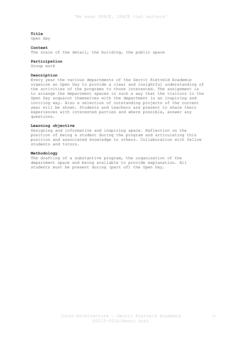Open day

# **Context**

The scale of the detail, the building, the public space

#### **Participation**

Group work

# **Description**

Every year the various departments of the Gerrit Rietveld Academie organise an Open Day to provide a clear and insightful understanding of the activities of the programs to those interested. The assignment is to arrange the department spaces in such a way that the visitors to the Open Day acquaint themselves with the department in an inspiring and inviting way. Also a selection of outstanding projects of the current year will be shown. Students and teachers are present to share their experiences with interested parties and where possible, answer any questions.

#### **Learning objective**

Designing and informative and inspiring space. Reflection on the position of being a student during the program and articulating this position and associated knowledge to others. Collaboration with fellow students and tutors.

# **Methodology**

The drafting of a substantive program, the organisation of the department space and being available to provide explanation. All students must be present during (part of) the Open Day.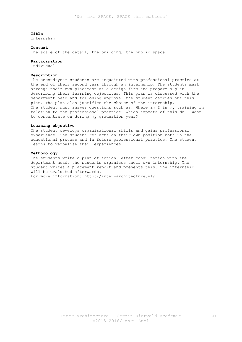Internship

#### **Context**

The scale of the detail, the building, the public space

#### **Participation**

Individual

# **Description**

The second-year students are acquainted with professional practice at the end of their second year through an internship. The students must arrange their own placement at a design firm and prepare a plan describing their learning objectives. This plan is discussed with the department head and following approval the student carries out this plan. The plan also justifies the choice of the internship. The student must answer questions such as: Where am I in my training in relation to the professional practice? Which aspects of this do I want to concentrate on during my graduation year?

#### **Learning objective**

The student develops organisational skills and gains professional experience. The student reflects on their own position both in the educational process and in future professional practice. The student learns to verbalise their experiences.

## **Methodology**

The students write a plan of action. After consultation with the department head, the students organises their own internship. The student writes a placement report and presents this. The internship will be evaluated afterwards. For more information: http://inter-architecture.nl/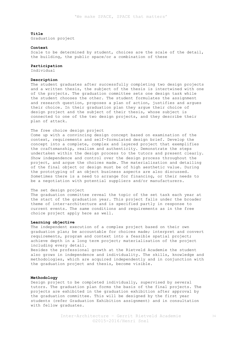Graduation project

#### **Context**

Scale to be determined by student, choices are the scale of the detail, the building, the public space/or a combination of these

## **Participation**

Individual

#### **Description**

The student graduates after successfully completing two design projects and a written thesis, the subject of the thesis is intertwined with one of the projects. The graduation committee sets one design task while the student chooses the other. The student formulates the assignment and research question, proposes a plan of action, justifies and argues their choice. In their graduation plan they argue their choice of design project and the subject of their thesis, whose subject is connected to one of the two design projects, and they describe their plan of attack.

# The free choice design project

Come up with a convincing design concept based on examination of the context, requirements and self-formulated design brief. Develop the concept into a complete, complex and layered project that exemplifies the craftsmanship, realism and authenticity. Demonstrate the steps undertaken within the design process to the tutors and present clearly. Show independence and control over the design process throughout the project, and argue the choices made. The materialisation and detailing of the final object or design must be of high aesthetic value. During the prototyping of an object business aspects are also discussed. Sometimes there is a need to arrange for financing, or their needs to be a negotiation with potential suppliers and/or manufacturers.

## The set design project

The graduation committee reveal the topic of the set task each year at the start of the graduation year. This project falls under the broader theme of inter-architecture and is specified partly in response to current events. The same conditions and requirements as in the free choice project apply here as well.

# **Learning objective**

The independent execution of a complex project based on their own graduation plan; be accountable for choices made; interpret and convert requirements, program and context into a feasible spatial project; achieve depth in a long term project; materialisation of the project including every detail.

Besides the professional growth at the Rietveld Academie the student also grows in independence and individuality. The skills, knowledge and methodologies, which are acquired independently and in conjunction with the graduation project and thesis, become visible.

# **Methodology**

Design project to be completed individually, supervised by several tutors. The graduation plan forms the basis of the final projects. The projects are exhibited in the graduation exhibition after approval by the graduation committee. This will be designed by the first year students (refer Graduation Exhibition assignment) and in consultation with fellow graduates.